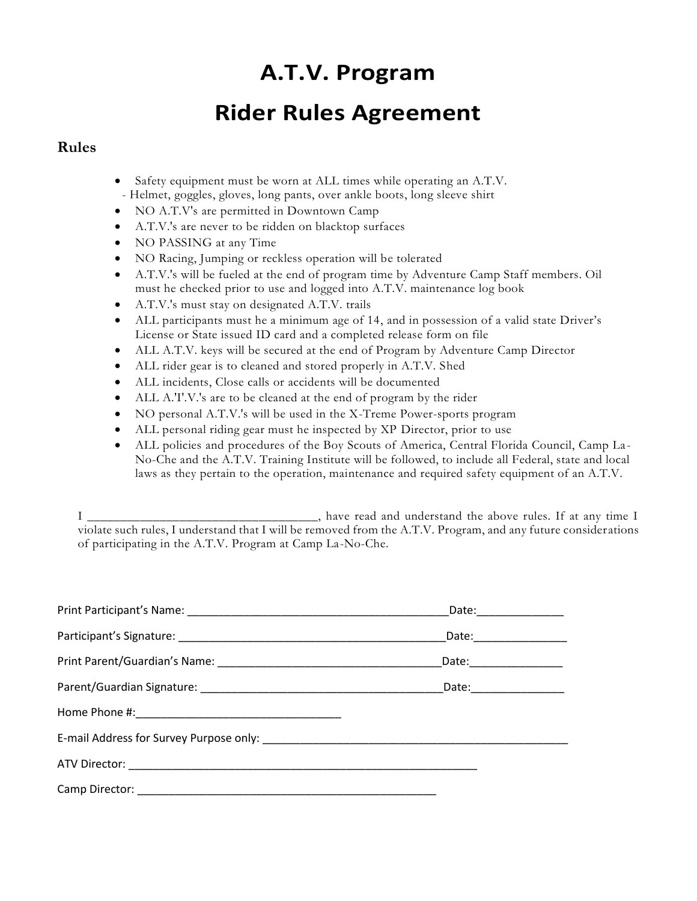# **A.T.V. Program**

# **Rider Rules Agreement**

#### **Rules**

- Safety equipment must be worn at ALL times while operating an A.T.V. - Helmet, goggles, gloves, long pants, over ankle boots, long sleeve shirt
- NO A.T.V's are permitted in Downtown Camp
- A.T.V.'s are never to be ridden on blacktop surfaces
- NO PASSING at any Time
- NO Racing, Jumping or reckless operation will be tolerated
- A.T.V.'s will be fueled at the end of program time by Adventure Camp Staff members. Oil must he checked prior to use and logged into A.T.V. maintenance log book
- A.T.V.'s must stay on designated A.T.V. trails
- ALL participants must he a minimum age of 14, and in possession of a valid state Driver's License or State issued ID card and a completed release form on file
- ALL A.T.V. keys will be secured at the end of Program by Adventure Camp Director
- ALL rider gear is to cleaned and stored properly in A.T.V. Shed
- ALL incidents, Close calls or accidents will be documented
- ALL A.'I'.V.'s are to be cleaned at the end of program by the rider
- NO personal A.T.V.'s will be used in the X-Treme Power-sports program
- ALL personal riding gear must he inspected by XP Director, prior to use
- ALL policies and procedures of the Boy Scouts of America, Central Florida Council, Camp La No-Che and the A.T.V. Training Institute will be followed, to include all Federal, state and local laws as they pertain to the operation, maintenance and required safety equipment of an A.T.V.

| Date:________________ |
|-----------------------|
| Date: _______________ |
|                       |
|                       |
|                       |
|                       |
|                       |
|                       |

I \_\_\_\_\_\_\_\_\_\_\_\_\_\_\_\_\_\_\_\_\_\_\_\_\_\_\_\_\_\_\_\_\_\_\_, have read and understand the above rules. If at any time I violate such rules, I understand that I will be removed from the A.T.V. Program, and any future consider ations of participating in the A.T.V. Program at Camp La-No-Che.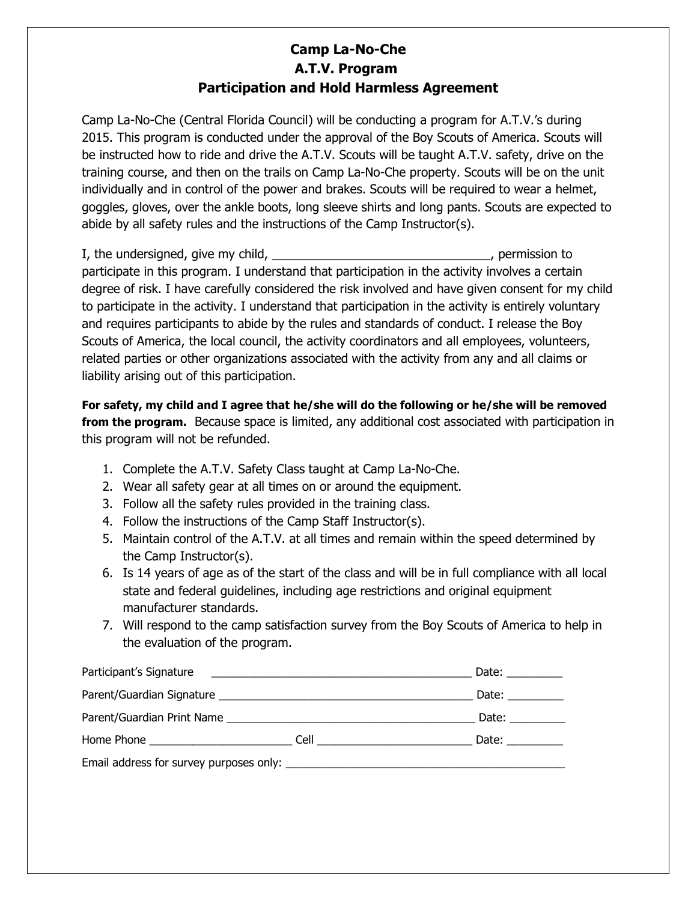### **Camp La-No-Che A.T.V. Program Participation and Hold Harmless Agreement**

Camp La-No-Che (Central Florida Council) will be conducting a program for A.T.V.'s during 2015. This program is conducted under the approval of the Boy Scouts of America. Scouts will be instructed how to ride and drive the A.T.V. Scouts will be taught A.T.V. safety, drive on the training course, and then on the trails on Camp La-No-Che property. Scouts will be on the unit individually and in control of the power and brakes. Scouts will be required to wear a helmet, goggles, gloves, over the ankle boots, long sleeve shirts and long pants. Scouts are expected to abide by all safety rules and the instructions of the Camp Instructor(s).

I, the undersigned, give my child, the undersigned give my child,  $\blacksquare$ participate in this program. I understand that participation in the activity involves a certain degree of risk. I have carefully considered the risk involved and have given consent for my child to participate in the activity. I understand that participation in the activity is entirely voluntary and requires participants to abide by the rules and standards of conduct. I release the Boy Scouts of America, the local council, the activity coordinators and all employees, volunteers, related parties or other organizations associated with the activity from any and all claims or liability arising out of this participation.

**For safety, my child and I agree that he/she will do the following or he/she will be removed from the program.** Because space is limited, any additional cost associated with participation in this program will not be refunded.

- 1. Complete the A.T.V. Safety Class taught at Camp La-No-Che.
- 2. Wear all safety gear at all times on or around the equipment.
- 3. Follow all the safety rules provided in the training class.
- 4. Follow the instructions of the Camp Staff Instructor(s).
- 5. Maintain control of the A.T.V. at all times and remain within the speed determined by the Camp Instructor(s).
- 6. Is 14 years of age as of the start of the class and will be in full compliance with all local state and federal guidelines, including age restrictions and original equipment manufacturer standards.
- 7. Will respond to the camp satisfaction survey from the Boy Scouts of America to help in the evaluation of the program.

| Participant's Signature experience and the state of the state of the state of the state of the state of the state of the state of the state of the state of the state of the state of the state of the state of the state of t |                           | Date: $\frac{1}{\sqrt{1-\frac{1}{2}}\cdot\frac{1}{\sqrt{1-\frac{1}{2}}}}$                                                                                                                                                      |
|--------------------------------------------------------------------------------------------------------------------------------------------------------------------------------------------------------------------------------|---------------------------|--------------------------------------------------------------------------------------------------------------------------------------------------------------------------------------------------------------------------------|
|                                                                                                                                                                                                                                |                           | Date: $\sqrt{ }$                                                                                                                                                                                                               |
|                                                                                                                                                                                                                                |                           | Date: $\frac{1}{\sqrt{1-\frac{1}{2}}\sqrt{1-\frac{1}{2}}\sqrt{1-\frac{1}{2}}\sqrt{1-\frac{1}{2}}\sqrt{1-\frac{1}{2}}$                                                                                                          |
|                                                                                                                                                                                                                                | Cell <u>_____________</u> | Date: the control of the control of the control of the control of the control of the control of the control of the control of the control of the control of the control of the control of the control of the control of the co |
|                                                                                                                                                                                                                                |                           |                                                                                                                                                                                                                                |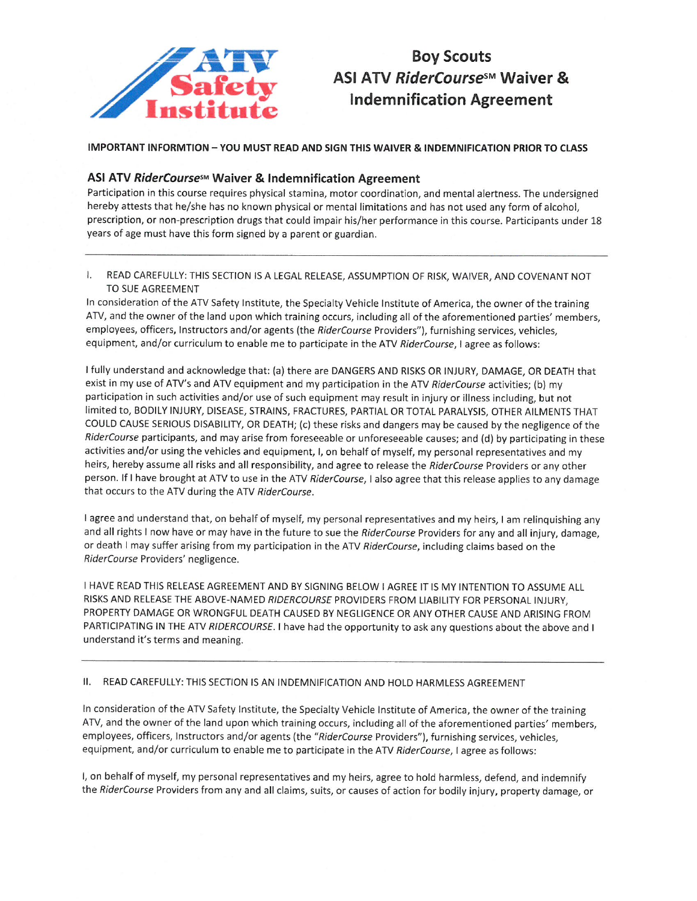

## **Boy Scouts** ASI ATV RiderCourse<sup>sM</sup> Waiver & **Indemnification Agreement**

**IMPORTANT INFORMTION - YOU MUST READ AND SIGN THIS WAIVER & INDEMNIFICATION PRIOR TO CLASS** 

#### ASI ATV RiderCoursesM Waiver & Indemnification Agreement

Participation in this course requires physical stamina, motor coordination, and mental alertness. The undersigned hereby attests that he/she has no known physical or mental limitations and has not used any form of alcohol, prescription, or non-prescription drugs that could impair his/her performance in this course. Participants under 18 years of age must have this form signed by a parent or guardian.

READ CAREFULLY: THIS SECTION IS A LEGAL RELEASE, ASSUMPTION OF RISK, WAIVER, AND COVENANT NOT  $\mathbf{L}$ TO SUE AGREEMENT

In consideration of the ATV Safety Institute, the Specialty Vehicle Institute of America, the owner of the training ATV, and the owner of the land upon which training occurs, including all of the aforementioned parties' members, employees, officers, Instructors and/or agents (the RiderCourse Providers"), furnishing services, vehicles, equipment, and/or curriculum to enable me to participate in the ATV RiderCourse, I agree as follows:

I fully understand and acknowledge that: (a) there are DANGERS AND RISKS OR INJURY, DAMAGE, OR DEATH that exist in my use of ATV's and ATV equipment and my participation in the ATV RiderCourse activities; (b) my participation in such activities and/or use of such equipment may result in injury or illness including, but not limited to, BODILY INJURY, DISEASE, STRAINS, FRACTURES, PARTIAL OR TOTAL PARALYSIS, OTHER AILMENTS THAT COULD CAUSE SERIOUS DISABILITY, OR DEATH; (c) these risks and dangers may be caused by the negligence of the RiderCourse participants, and may arise from foreseeable or unforeseeable causes; and (d) by participating in these activities and/or using the vehicles and equipment, I, on behalf of myself, my personal representatives and my heirs, hereby assume all risks and all responsibility, and agree to release the RiderCourse Providers or any other person. If I have brought at ATV to use in the ATV RiderCourse, I also agree that this release applies to any damage that occurs to the ATV during the ATV RiderCourse.

I agree and understand that, on behalf of myself, my personal representatives and my heirs, I am relinquishing any and all rights I now have or may have in the future to sue the RiderCourse Providers for any and all injury, damage, or death I may suffer arising from my participation in the ATV RiderCourse, including claims based on the RiderCourse Providers' negligence.

I HAVE READ THIS RELEASE AGREEMENT AND BY SIGNING BELOW I AGREE IT IS MY INTENTION TO ASSUME ALL RISKS AND RELEASE THE ABOVE-NAMED RIDERCOURSE PROVIDERS FROM LIABILITY FOR PERSONAL INJURY, PROPERTY DAMAGE OR WRONGFUL DEATH CAUSED BY NEGLIGENCE OR ANY OTHER CAUSE AND ARISING FROM PARTICIPATING IN THE ATV RIDERCOURSE. I have had the opportunity to ask any questions about the above and I understand it's terms and meaning.

II. READ CAREFULLY: THIS SECTION IS AN INDEMNIFICATION AND HOLD HARMLESS AGREEMENT

In consideration of the ATV Safety Institute, the Specialty Vehicle Institute of America, the owner of the training ATV, and the owner of the land upon which training occurs, including all of the aforementioned parties' members, employees, officers, Instructors and/or agents (the "RiderCourse Providers"), furnishing services, vehicles, equipment, and/or curriculum to enable me to participate in the ATV RiderCourse, I agree as follows:

I, on behalf of myself, my personal representatives and my heirs, agree to hold harmless, defend, and indemnify the RiderCourse Providers from any and all claims, suits, or causes of action for bodily injury, property damage, or